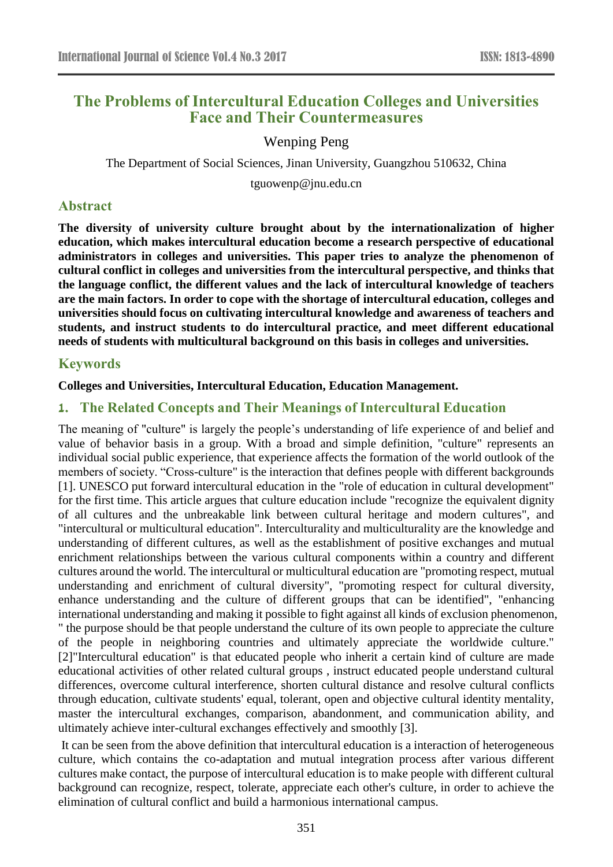# **The Problems of Intercultural Education Colleges and Universities Face and Their Countermeasures**

## Wenping Peng

The Department of Social Sciences, Jinan University, Guangzhou 510632, China

tguowenp@jnu.edu.cn

### **Abstract**

**The diversity of university culture brought about by the internationalization of higher education, which makes intercultural education become a research perspective of educational administrators in colleges and universities. This paper tries to analyze the phenomenon of cultural conflict in colleges and universities from the intercultural perspective, and thinks that the language conflict, the different values and the lack of intercultural knowledge of teachers are the main factors. In order to cope with the shortage of intercultural education, colleges and universities should focus on cultivating intercultural knowledge and awareness of teachers and students, and instruct students to do intercultural practice, and meet different educational needs of students with multicultural background on this basis in colleges and universities.**

### **Keywords**

#### **Colleges and Universities, Intercultural Education, Education Management.**

### **1. The Related Concepts and Their Meanings of Intercultural Education**

The meaning of "culture" is largely the people's understanding of life experience of and belief and value of behavior basis in a group. With a broad and simple definition, "culture" represents an individual social public experience, that experience affects the formation of the world outlook of the members of society. "Cross-culture" is the interaction that defines people with different backgrounds [1]. UNESCO put forward intercultural education in the "role of education in cultural development" for the first time. This article argues that culture education include "recognize the equivalent dignity of all cultures and the unbreakable link between cultural heritage and modern cultures", and "intercultural or multicultural education". Interculturality and multiculturality are the knowledge and understanding of different cultures, as well as the establishment of positive exchanges and mutual enrichment relationships between the various cultural components within a country and different cultures around the world. The intercultural or multicultural education are "promoting respect, mutual understanding and enrichment of cultural diversity", "promoting respect for cultural diversity, enhance understanding and the culture of different groups that can be identified", "enhancing international understanding and making it possible to fight against all kinds of exclusion phenomenon, " the purpose should be that people understand the culture of its own people to appreciate the culture of the people in neighboring countries and ultimately appreciate the worldwide culture." [2]"Intercultural education" is that educated people who inherit a certain kind of culture are made educational activities of other related cultural groups , instruct educated people understand cultural differences, overcome cultural interference, shorten cultural distance and resolve cultural conflicts through education, cultivate students' equal, tolerant, open and objective cultural identity mentality, master the intercultural exchanges, comparison, abandonment, and communication ability, and ultimately achieve inter-cultural exchanges effectively and smoothly [3].

It can be seen from the above definition that intercultural education is a interaction of heterogeneous culture, which contains the co-adaptation and mutual integration process after various different cultures make contact, the purpose of intercultural education is to make people with different cultural background can recognize, respect, tolerate, appreciate each other's culture, in order to achieve the elimination of cultural conflict and build a harmonious international campus.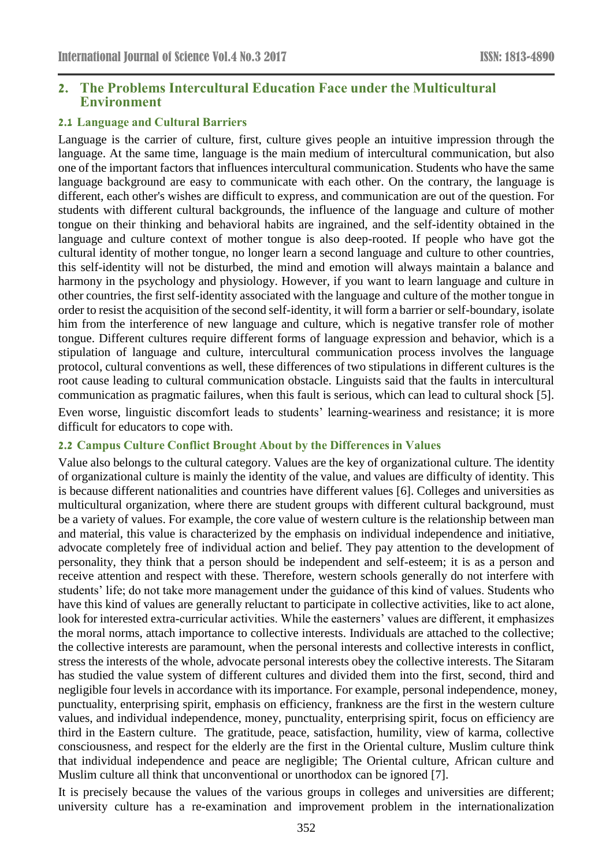### **2. The Problems Intercultural Education Face under the Multicultural Environment**

#### **2.1 Language and Cultural Barriers**

Language is the carrier of culture, first, culture gives people an intuitive impression through the language. At the same time, language is the main medium of intercultural communication, but also one of the important factors that influences intercultural communication. Students who have the same language background are easy to communicate with each other. On the contrary, the language is different, each other's wishes are difficult to express, and communication are out of the question. For students with different cultural backgrounds, the influence of the language and culture of mother tongue on their thinking and behavioral habits are ingrained, and the self-identity obtained in the language and culture context of mother tongue is also deep-rooted. If people who have got the cultural identity of mother tongue, no longer learn a second language and culture to other countries, this self-identity will not be disturbed, the mind and emotion will always maintain a balance and harmony in the psychology and physiology. However, if you want to learn language and culture in other countries, the first self-identity associated with the language and culture of the mother tongue in order to resist the acquisition of the second self-identity, it will form a barrier or self-boundary, isolate him from the interference of new language and culture, which is negative transfer role of mother tongue. Different cultures require different forms of language expression and behavior, which is a stipulation of language and culture, intercultural communication process involves the language protocol, cultural conventions as well, these differences of two stipulations in different cultures is the root cause leading to cultural communication obstacle. Linguists said that the faults in intercultural communication as pragmatic failures, when this fault is serious, which can lead to cultural shock [5]. Even worse, linguistic discomfort leads to students' learning-weariness and resistance; it is more difficult for educators to cope with.

#### **2.2 Campus Culture Conflict Brought About by the Differences in Values**

Value also belongs to the cultural category. Values are the key of organizational culture. The identity of organizational culture is mainly the identity of the value, and values are difficulty of identity. This is because different nationalities and countries have different values [6]. Colleges and universities as multicultural organization, where there are student groups with different cultural background, must be a variety of values. For example, the core value of western culture is the relationship between man and material, this value is characterized by the emphasis on individual independence and initiative, advocate completely free of individual action and belief. They pay attention to the development of personality, they think that a person should be independent and self-esteem; it is as a person and receive attention and respect with these. Therefore, western schools generally do not interfere with students' life; do not take more management under the guidance of this kind of values. Students who have this kind of values are generally reluctant to participate in collective activities, like to act alone, look for interested extra-curricular activities. While the easterners' values are different, it emphasizes the moral norms, attach importance to collective interests. Individuals are attached to the collective; the collective interests are paramount, when the personal interests and collective interests in conflict, stress the interests of the whole, advocate personal interests obey the collective interests. The Sitaram has studied the value system of different cultures and divided them into the first, second, third and negligible four levels in accordance with its importance. For example, personal independence, money, punctuality, enterprising spirit, emphasis on efficiency, frankness are the first in the western culture values, and individual independence, money, punctuality, enterprising spirit, focus on efficiency are third in the Eastern culture. The gratitude, peace, satisfaction, humility, view of karma, collective consciousness, and respect for the elderly are the first in the Oriental culture, Muslim culture think that individual independence and peace are negligible; The Oriental culture, African culture and Muslim culture all think that unconventional or unorthodox can be ignored [7].

It is precisely because the values of the various groups in colleges and universities are different; university culture has a re-examination and improvement problem in the internationalization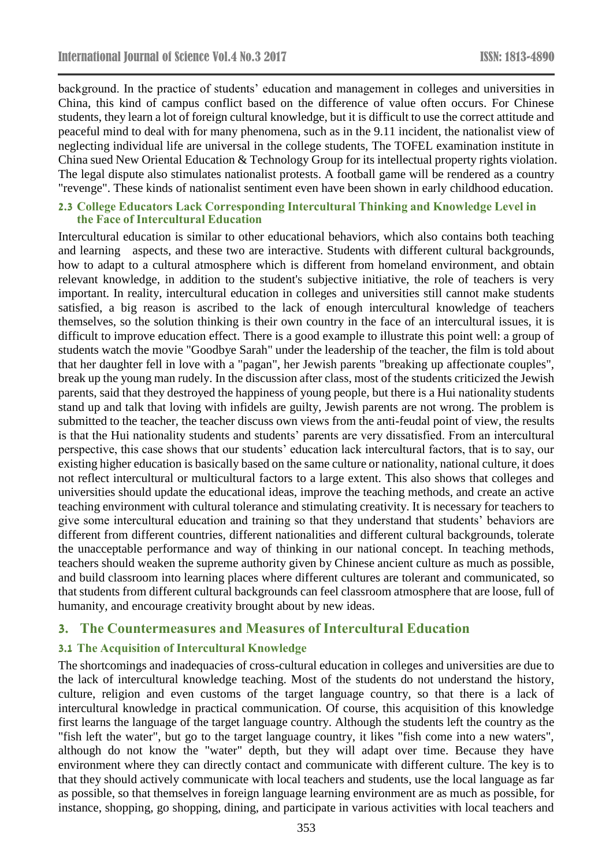background. In the practice of students' education and management in colleges and universities in China, this kind of campus conflict based on the difference of value often occurs. For Chinese students, they learn a lot of foreign cultural knowledge, but it is difficult to use the correct attitude and peaceful mind to deal with for many phenomena, such as in the 9.11 incident, the nationalist view of neglecting individual life are universal in the college students, The TOFEL examination institute in China sued New Oriental Education & Technology Group for its intellectual property rights violation. The legal dispute also stimulates nationalist protests. A football game will be rendered as a country "revenge". These kinds of nationalist sentiment even have been shown in early childhood education.

#### **2.3 College Educators Lack Corresponding Intercultural Thinking and Knowledge Level in the Face of Intercultural Education**

Intercultural education is similar to other educational behaviors, which also contains both teaching and learning aspects, and these two are interactive. Students with different cultural backgrounds, how to adapt to a cultural atmosphere which is different from homeland environment, and obtain relevant knowledge, in addition to the student's subjective initiative, the role of teachers is very important. In reality, intercultural education in colleges and universities still cannot make students satisfied, a big reason is ascribed to the lack of enough intercultural knowledge of teachers themselves, so the solution thinking is their own country in the face of an intercultural issues, it is difficult to improve education effect. There is a good example to illustrate this point well: a group of students watch the movie "Goodbye Sarah" under the leadership of the teacher, the film is told about that her daughter fell in love with a "pagan", her Jewish parents "breaking up affectionate couples", break up the young man rudely. In the discussion after class, most of the students criticized the Jewish parents, said that they destroyed the happiness of young people, but there is a Hui nationality students stand up and talk that loving with infidels are guilty, Jewish parents are not wrong. The problem is submitted to the teacher, the teacher discuss own views from the anti-feudal point of view, the results is that the Hui nationality students and students' parents are very dissatisfied. From an intercultural perspective, this case shows that our students' education lack intercultural factors, that is to say, our existing higher education is basically based on the same culture or nationality, national culture, it does not reflect intercultural or multicultural factors to a large extent. This also shows that colleges and universities should update the educational ideas, improve the teaching methods, and create an active teaching environment with cultural tolerance and stimulating creativity. It is necessary for teachers to give some intercultural education and training so that they understand that students' behaviors are different from different countries, different nationalities and different cultural backgrounds, tolerate the unacceptable performance and way of thinking in our national concept. In teaching methods, teachers should weaken the supreme authority given by Chinese ancient culture as much as possible, and build classroom into learning places where different cultures are tolerant and communicated, so that students from different cultural backgrounds can feel classroom atmosphere that are loose, full of humanity, and encourage creativity brought about by new ideas.

## **3. The Countermeasures and Measures of Intercultural Education**

### **3.1 The Acquisition of Intercultural Knowledge**

The shortcomings and inadequacies of cross-cultural education in colleges and universities are due to the lack of intercultural knowledge teaching. Most of the students do not understand the history, culture, religion and even customs of the target language country, so that there is a lack of intercultural knowledge in practical communication. Of course, this acquisition of this knowledge first learns the language of the target language country. Although the students left the country as the "fish left the water", but go to the target language country, it likes "fish come into a new waters", although do not know the "water" depth, but they will adapt over time. Because they have environment where they can directly contact and communicate with different culture. The key is to that they should actively communicate with local teachers and students, use the local language as far as possible, so that themselves in foreign language learning environment are as much as possible, for instance, shopping, go shopping, dining, and participate in various activities with local teachers and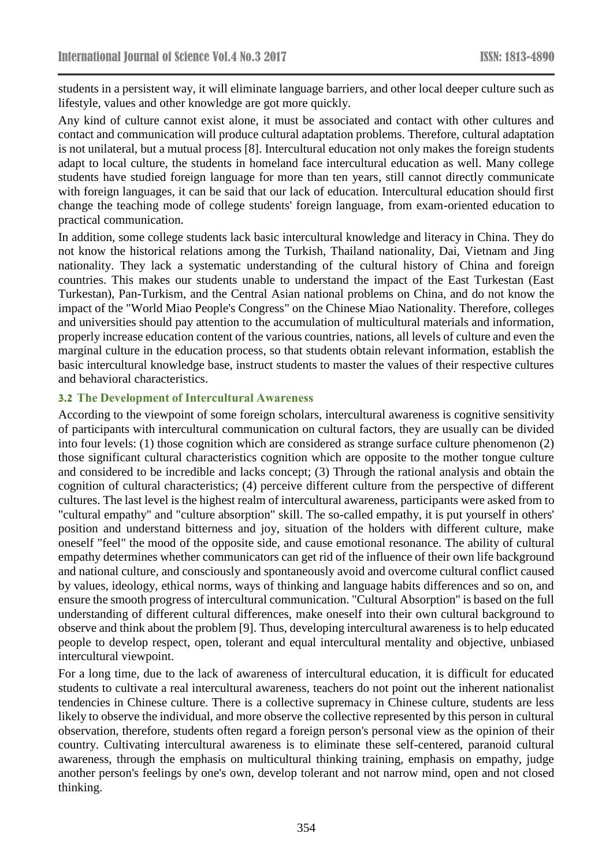students in a persistent way, it will eliminate language barriers, and other local deeper culture such as lifestyle, values and other knowledge are got more quickly.

Any kind of culture cannot exist alone, it must be associated and contact with other cultures and contact and communication will produce cultural adaptation problems. Therefore, cultural adaptation is not unilateral, but a mutual process [8]. Intercultural education not only makes the foreign students adapt to local culture, the students in homeland face intercultural education as well. Many college students have studied foreign language for more than ten years, still cannot directly communicate with foreign languages, it can be said that our lack of education. Intercultural education should first change the teaching mode of college students' foreign language, from exam-oriented education to practical communication.

In addition, some college students lack basic intercultural knowledge and literacy in China. They do not know the historical relations among the Turkish, Thailand nationality, Dai, Vietnam and Jing nationality. They lack a systematic understanding of the cultural history of China and foreign countries. This makes our students unable to understand the impact of the East Turkestan (East Turkestan), Pan-Turkism, and the Central Asian national problems on China, and do not know the impact of the "World Miao People's Congress" on the Chinese Miao Nationality. Therefore, colleges and universities should pay attention to the accumulation of multicultural materials and information, properly increase education content of the various countries, nations, all levels of culture and even the marginal culture in the education process, so that students obtain relevant information, establish the basic intercultural knowledge base, instruct students to master the values of their respective cultures and behavioral characteristics.

#### **3.2 The Development of Intercultural Awareness**

According to the viewpoint of some foreign scholars, intercultural awareness is cognitive sensitivity of participants with intercultural communication on cultural factors, they are usually can be divided into four levels: (1) those cognition which are considered as strange surface culture phenomenon (2) those significant cultural characteristics cognition which are opposite to the mother tongue culture and considered to be incredible and lacks concept; (3) Through the rational analysis and obtain the cognition of cultural characteristics; (4) perceive different culture from the perspective of different cultures. The last level is the highest realm of intercultural awareness, participants were asked from to "cultural empathy" and "culture absorption" skill. The so-called empathy, it is put yourself in others' position and understand bitterness and joy, situation of the holders with different culture, make oneself "feel" the mood of the opposite side, and cause emotional resonance. The ability of cultural empathy determines whether communicators can get rid of the influence of their own life background and national culture, and consciously and spontaneously avoid and overcome cultural conflict caused by values, ideology, ethical norms, ways of thinking and language habits differences and so on, and ensure the smooth progress of intercultural communication. "Cultural Absorption" is based on the full understanding of different cultural differences, make oneself into their own cultural background to observe and think about the problem [9]. Thus, developing intercultural awareness is to help educated people to develop respect, open, tolerant and equal intercultural mentality and objective, unbiased intercultural viewpoint.

For a long time, due to the lack of awareness of intercultural education, it is difficult for educated students to cultivate a real intercultural awareness, teachers do not point out the inherent nationalist tendencies in Chinese culture. There is a collective supremacy in Chinese culture, students are less likely to observe the individual, and more observe the collective represented by this person in cultural observation, therefore, students often regard a foreign person's personal view as the opinion of their country. Cultivating intercultural awareness is to eliminate these self-centered, paranoid cultural awareness, through the emphasis on multicultural thinking training, emphasis on empathy, judge another person's feelings by one's own, develop tolerant and not narrow mind, open and not closed thinking.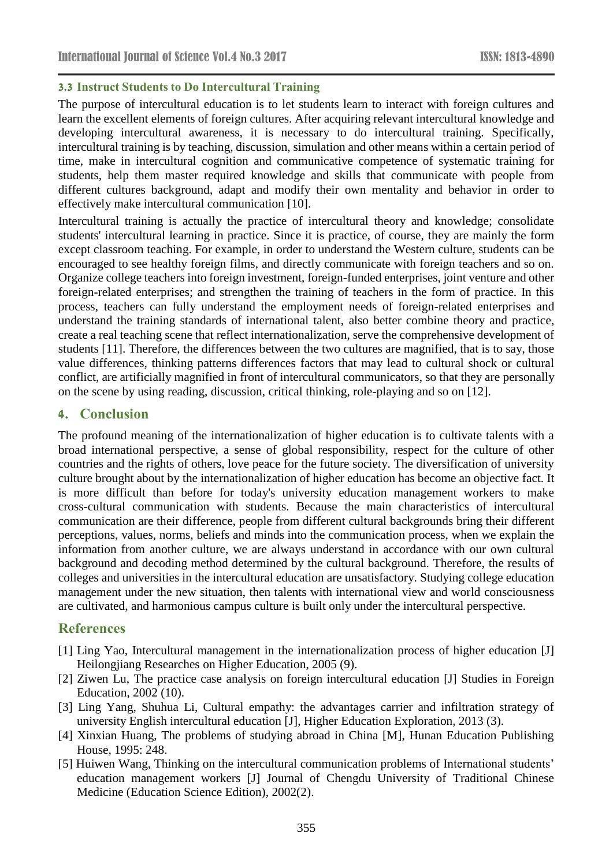### **3.3 Instruct Students to Do Intercultural Training**

The purpose of intercultural education is to let students learn to interact with foreign cultures and learn the excellent elements of foreign cultures. After acquiring relevant intercultural knowledge and developing intercultural awareness, it is necessary to do intercultural training. Specifically, intercultural training is by teaching, discussion, simulation and other means within a certain period of time, make in intercultural cognition and communicative competence of systematic training for students, help them master required knowledge and skills that communicate with people from different cultures background, adapt and modify their own mentality and behavior in order to effectively make intercultural communication [10].

Intercultural training is actually the practice of intercultural theory and knowledge; consolidate students' intercultural learning in practice. Since it is practice, of course, they are mainly the form except classroom teaching. For example, in order to understand the Western culture, students can be encouraged to see healthy foreign films, and directly communicate with foreign teachers and so on. Organize college teachers into foreign investment, foreign-funded enterprises, joint venture and other foreign-related enterprises; and strengthen the training of teachers in the form of practice. In this process, teachers can fully understand the employment needs of foreign-related enterprises and understand the training standards of international talent, also better combine theory and practice, create a real teaching scene that reflect internationalization, serve the comprehensive development of students [11]. Therefore, the differences between the two cultures are magnified, that is to say, those value differences, thinking patterns differences factors that may lead to cultural shock or cultural conflict, are artificially magnified in front of intercultural communicators, so that they are personally on the scene by using reading, discussion, critical thinking, role-playing and so on [12].

## **4. Conclusion**

The profound meaning of the internationalization of higher education is to cultivate talents with a broad international perspective, a sense of global responsibility, respect for the culture of other countries and the rights of others, love peace for the future society. The diversification of university culture brought about by the internationalization of higher education has become an objective fact. It is more difficult than before for today's university education management workers to make cross-cultural communication with students. Because the main characteristics of intercultural communication are their difference, people from different cultural backgrounds bring their different perceptions, values, norms, beliefs and minds into the communication process, when we explain the information from another culture, we are always understand in accordance with our own cultural background and decoding method determined by the cultural background. Therefore, the results of colleges and universities in the intercultural education are unsatisfactory. Studying college education management under the new situation, then talents with international view and world consciousness are cultivated, and harmonious campus culture is built only under the intercultural perspective.

## **References**

- [1] Ling Yao, Intercultural management in the internationalization process of higher education [J] Heilongjiang Researches on Higher Education, 2005 (9).
- [2] Ziwen Lu, The practice case analysis on foreign intercultural education [J] Studies in Foreign Education, 2002 (10).
- [3] Ling Yang, Shuhua Li, Cultural empathy: the advantages carrier and infiltration strategy of university English intercultural education [J], Higher Education Exploration, 2013 (3).
- [4] Xinxian Huang, The problems of studying abroad in China [M], Hunan Education Publishing House, 1995: 248.
- [5] Huiwen Wang, Thinking on the intercultural communication problems of International students' education management workers [J] Journal of Chengdu University of Traditional Chinese Medicine (Education Science Edition), 2002(2).